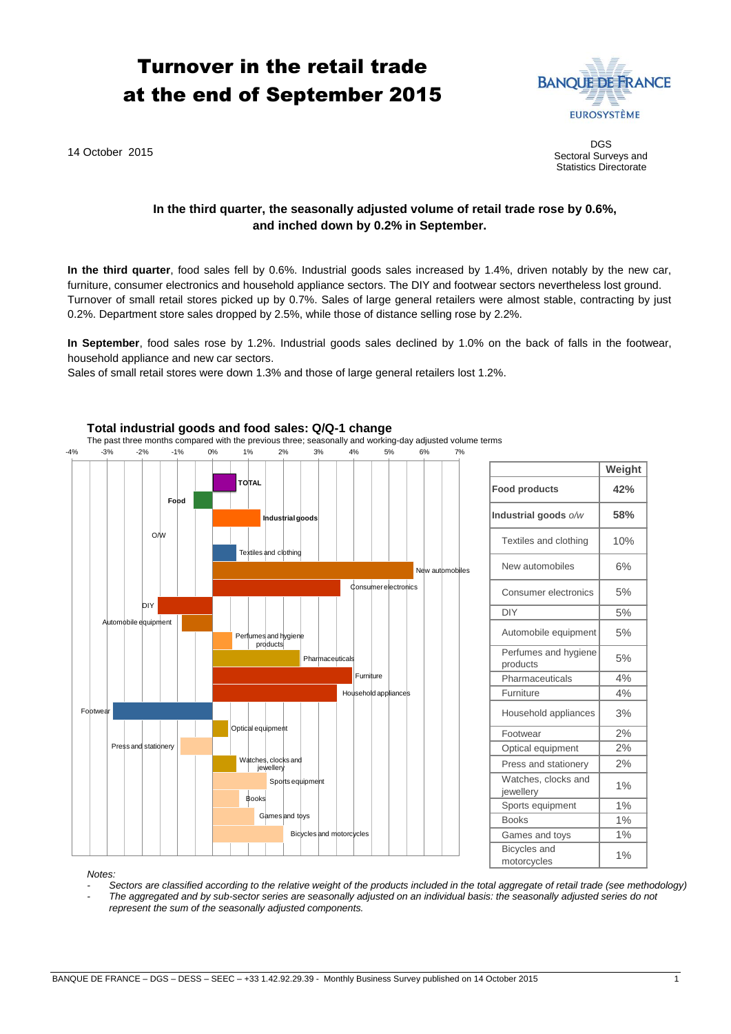# Turnover in the retail trade at the end of September 2015



14 October 2015

DGS Sectoral Surveys and Statistics Directorate

### **In the third quarter, the seasonally adjusted volume of retail trade rose by 0.6%, and inched down by 0.2% in September.**

**In the third quarter**, food sales fell by 0.6%. Industrial goods sales increased by 1.4%, driven notably by the new car, furniture, consumer electronics and household appliance sectors. The DIY and footwear sectors nevertheless lost ground. Turnover of small retail stores picked up by 0.7%. Sales of large general retailers were almost stable, contracting by just 0.2%. Department store sales dropped by 2.5%, while those of distance selling rose by 2.2%.

**In September**, food sales rose by 1.2%. Industrial goods sales declined by 1.0% on the back of falls in the footwear, household appliance and new car sectors.

Sales of small retail stores were down 1.3% and those of large general retailers lost 1.2%.



## **Total industrial goods and food sales: Q/Q-1 change**

*Notes:* 

*- Sectors are classified according to the relative weight of the products included in the total aggregate of retail trade (see methodology)*

*- The aggregated and by sub-sector series are seasonally adjusted on an individual basis: the seasonally adjusted series do not represent the sum of the seasonally adjusted components.*